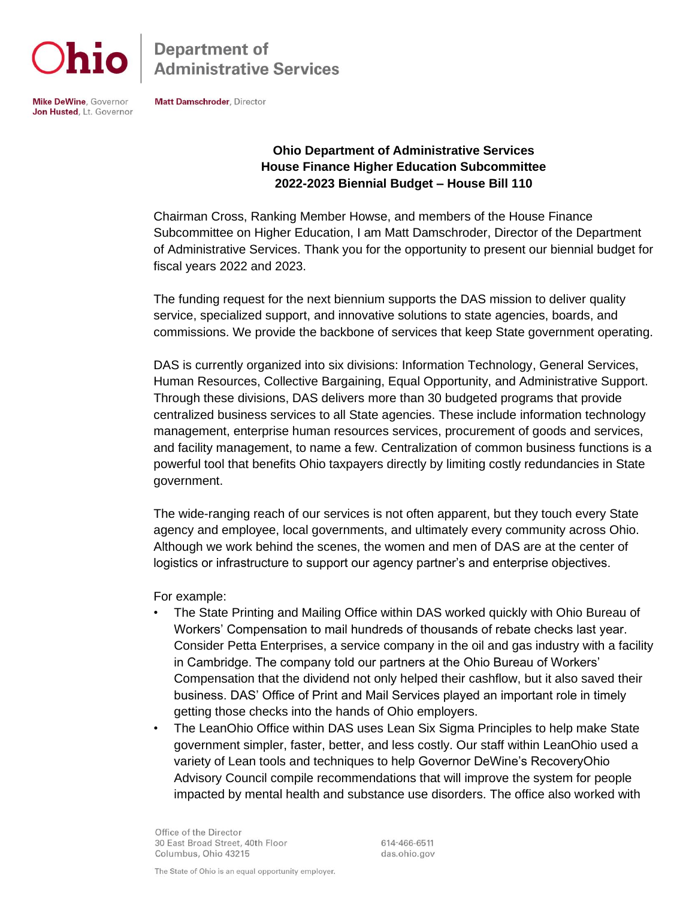

**Department of Administrative Services** 

**Mike DeWine, Governor** Jon Husted, Lt. Governor Matt Damschroder, Director

## **Ohio Department of Administrative Services House Finance Higher Education Subcommittee 2022-2023 Biennial Budget – House Bill 110**

Chairman Cross, Ranking Member Howse, and members of the House Finance Subcommittee on Higher Education, I am Matt Damschroder, Director of the Department of Administrative Services. Thank you for the opportunity to present our biennial budget for fiscal years 2022 and 2023.

The funding request for the next biennium supports the DAS mission to deliver quality service, specialized support, and innovative solutions to state agencies, boards, and commissions. We provide the backbone of services that keep State government operating.

DAS is currently organized into six divisions: Information Technology, General Services, Human Resources, Collective Bargaining, Equal Opportunity, and Administrative Support. Through these divisions, DAS delivers more than 30 budgeted programs that provide centralized business services to all State agencies. These include information technology management, enterprise human resources services, procurement of goods and services, and facility management, to name a few. Centralization of common business functions is a powerful tool that benefits Ohio taxpayers directly by limiting costly redundancies in State government.

The wide-ranging reach of our services is not often apparent, but they touch every State agency and employee, local governments, and ultimately every community across Ohio. Although we work behind the scenes, the women and men of DAS are at the center of logistics or infrastructure to support our agency partner's and enterprise objectives.

For example:

- The State Printing and Mailing Office within DAS worked quickly with Ohio Bureau of Workers' Compensation to mail hundreds of thousands of rebate checks last year. Consider Petta Enterprises, a service company in the oil and gas industry with a facility in Cambridge. The company told our partners at the Ohio Bureau of Workers' Compensation that the dividend not only helped their cashflow, but it also saved their business. DAS' Office of Print and Mail Services played an important role in timely getting those checks into the hands of Ohio employers.
- The LeanOhio Office within DAS uses Lean Six Sigma Principles to help make State government simpler, faster, better, and less costly. Our staff within LeanOhio used a variety of Lean tools and techniques to help Governor DeWine's RecoveryOhio Advisory Council compile recommendations that will improve the system for people impacted by mental health and substance use disorders. The office also worked with

Office of the Director 30 East Broad Street, 40th Floor Columbus, Ohio 43215

614-466-6511 das.ohio.gov

The State of Ohio is an equal opportunity employer.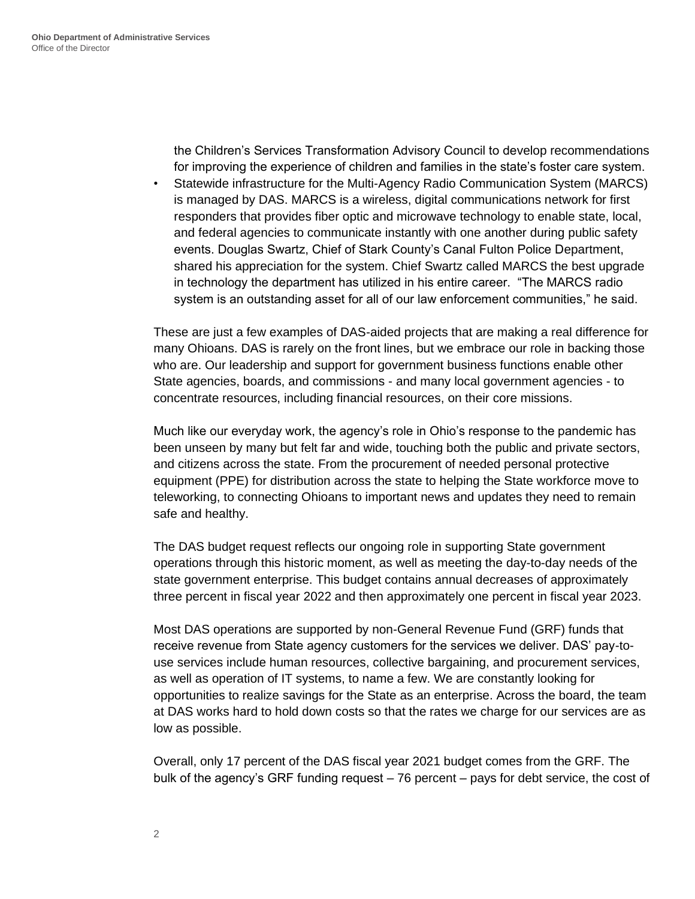the Children's Services Transformation Advisory Council to develop recommendations for improving the experience of children and families in the state's foster care system.

• Statewide infrastructure for the Multi-Agency Radio Communication System (MARCS) is managed by DAS. MARCS is a wireless, digital communications network for first responders that provides fiber optic and microwave technology to enable state, local, and federal agencies to communicate instantly with one another during public safety events. Douglas Swartz, Chief of Stark County's Canal Fulton Police Department, shared his appreciation for the system. Chief Swartz called MARCS the best upgrade in technology the department has utilized in his entire career. "The MARCS radio system is an outstanding asset for all of our law enforcement communities," he said.

These are just a few examples of DAS-aided projects that are making a real difference for many Ohioans. DAS is rarely on the front lines, but we embrace our role in backing those who are. Our leadership and support for government business functions enable other State agencies, boards, and commissions - and many local government agencies - to concentrate resources, including financial resources, on their core missions.

Much like our everyday work, the agency's role in Ohio's response to the pandemic has been unseen by many but felt far and wide, touching both the public and private sectors, and citizens across the state. From the procurement of needed personal protective equipment (PPE) for distribution across the state to helping the State workforce move to teleworking, to connecting Ohioans to important news and updates they need to remain safe and healthy.

The DAS budget request reflects our ongoing role in supporting State government operations through this historic moment, as well as meeting the day-to-day needs of the state government enterprise. This budget contains annual decreases of approximately three percent in fiscal year 2022 and then approximately one percent in fiscal year 2023.

Most DAS operations are supported by non-General Revenue Fund (GRF) funds that receive revenue from State agency customers for the services we deliver. DAS' pay-touse services include human resources, collective bargaining, and procurement services, as well as operation of IT systems, to name a few. We are constantly looking for opportunities to realize savings for the State as an enterprise. Across the board, the team at DAS works hard to hold down costs so that the rates we charge for our services are as low as possible.

Overall, only 17 percent of the DAS fiscal year 2021 budget comes from the GRF. The bulk of the agency's GRF funding request – 76 percent – pays for debt service, the cost of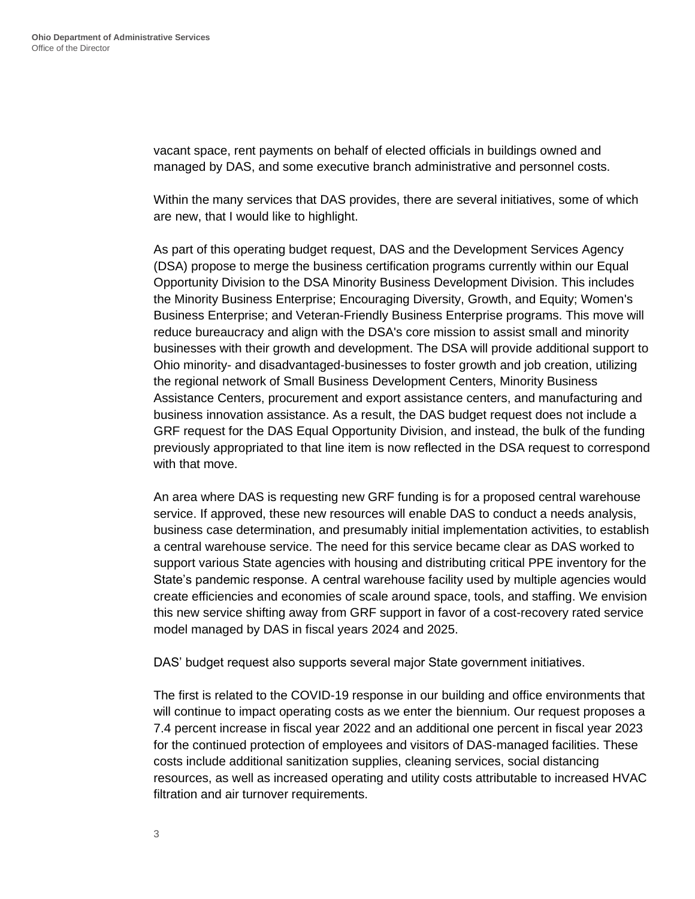vacant space, rent payments on behalf of elected officials in buildings owned and managed by DAS, and some executive branch administrative and personnel costs.

Within the many services that DAS provides, there are several initiatives, some of which are new, that I would like to highlight.

As part of this operating budget request, DAS and the Development Services Agency (DSA) propose to merge the business certification programs currently within our Equal Opportunity Division to the DSA Minority Business Development Division. This includes the Minority Business Enterprise; Encouraging Diversity, Growth, and Equity; Women's Business Enterprise; and Veteran-Friendly Business Enterprise programs. This move will reduce bureaucracy and align with the DSA's core mission to assist small and minority businesses with their growth and development. The DSA will provide additional support to Ohio minority- and disadvantaged-businesses to foster growth and job creation, utilizing the regional network of Small Business Development Centers, Minority Business Assistance Centers, procurement and export assistance centers, and manufacturing and business innovation assistance. As a result, the DAS budget request does not include a GRF request for the DAS Equal Opportunity Division, and instead, the bulk of the funding previously appropriated to that line item is now reflected in the DSA request to correspond with that move.

An area where DAS is requesting new GRF funding is for a proposed central warehouse service. If approved, these new resources will enable DAS to conduct a needs analysis, business case determination, and presumably initial implementation activities, to establish a central warehouse service. The need for this service became clear as DAS worked to support various State agencies with housing and distributing critical PPE inventory for the State's pandemic response. A central warehouse facility used by multiple agencies would create efficiencies and economies of scale around space, tools, and staffing. We envision this new service shifting away from GRF support in favor of a cost-recovery rated service model managed by DAS in fiscal years 2024 and 2025.

DAS' budget request also supports several major State government initiatives.

The first is related to the COVID-19 response in our building and office environments that will continue to impact operating costs as we enter the biennium. Our request proposes a 7.4 percent increase in fiscal year 2022 and an additional one percent in fiscal year 2023 for the continued protection of employees and visitors of DAS-managed facilities. These costs include additional sanitization supplies, cleaning services, social distancing resources, as well as increased operating and utility costs attributable to increased HVAC filtration and air turnover requirements.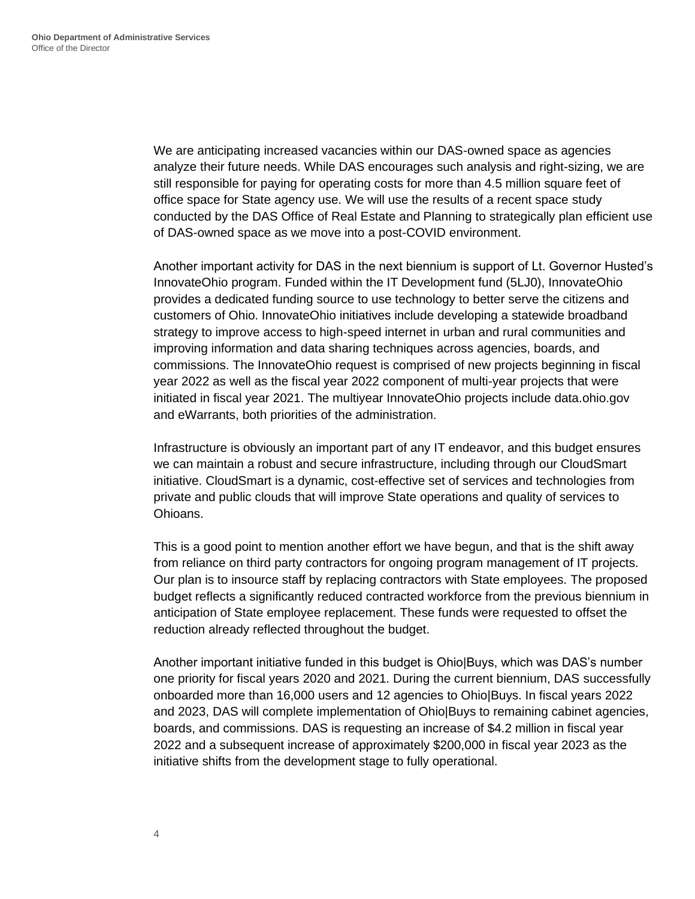We are anticipating increased vacancies within our DAS-owned space as agencies analyze their future needs. While DAS encourages such analysis and right-sizing, we are still responsible for paying for operating costs for more than 4.5 million square feet of office space for State agency use. We will use the results of a recent space study conducted by the DAS Office of Real Estate and Planning to strategically plan efficient use of DAS-owned space as we move into a post-COVID environment.

Another important activity for DAS in the next biennium is support of Lt. Governor Husted's InnovateOhio program. Funded within the IT Development fund (5LJ0), InnovateOhio provides a dedicated funding source to use technology to better serve the citizens and customers of Ohio. InnovateOhio initiatives include developing a statewide broadband strategy to improve access to high-speed internet in urban and rural communities and improving information and data sharing techniques across agencies, boards, and commissions. The InnovateOhio request is comprised of new projects beginning in fiscal year 2022 as well as the fiscal year 2022 component of multi-year projects that were initiated in fiscal year 2021. The multiyear InnovateOhio projects include data.ohio.gov and eWarrants, both priorities of the administration.

Infrastructure is obviously an important part of any IT endeavor, and this budget ensures we can maintain a robust and secure infrastructure, including through our CloudSmart initiative. CloudSmart is a dynamic, cost-effective set of services and technologies from private and public clouds that will improve State operations and quality of services to Ohioans.

This is a good point to mention another effort we have begun, and that is the shift away from reliance on third party contractors for ongoing program management of IT projects. Our plan is to insource staff by replacing contractors with State employees. The proposed budget reflects a significantly reduced contracted workforce from the previous biennium in anticipation of State employee replacement. These funds were requested to offset the reduction already reflected throughout the budget.

Another important initiative funded in this budget is Ohio|Buys, which was DAS's number one priority for fiscal years 2020 and 2021. During the current biennium, DAS successfully onboarded more than 16,000 users and 12 agencies to Ohio|Buys. In fiscal years 2022 and 2023, DAS will complete implementation of Ohio|Buys to remaining cabinet agencies, boards, and commissions. DAS is requesting an increase of \$4.2 million in fiscal year 2022 and a subsequent increase of approximately \$200,000 in fiscal year 2023 as the initiative shifts from the development stage to fully operational.